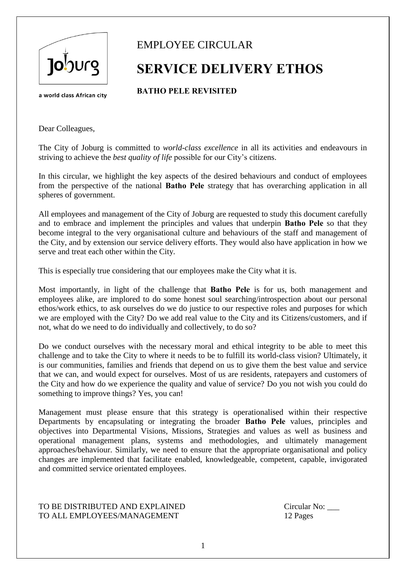

## **SERVICE DELIVERY ETHOS**

**BATHO PELE REVISITED**

a world class African city

Dear Colleagues,

The City of Joburg is committed to *world-class excellence* in all its activities and endeavours in striving to achieve the *best quality of life* possible for our City's citizens.

In this circular, we highlight the key aspects of the desired behaviours and conduct of employees from the perspective of the national **Batho Pele** strategy that has overarching application in all spheres of government.

All employees and management of the City of Joburg are requested to study this document carefully and to embrace and implement the principles and values that underpin **Batho Pele** so that they become integral to the very organisational culture and behaviours of the staff and management of the City, and by extension our service delivery efforts. They would also have application in how we serve and treat each other within the City.

This is especially true considering that our employees make the City what it is.

Most importantly, in light of the challenge that **Batho Pele** is for us, both management and employees alike, are implored to do some honest soul searching/introspection about our personal ethos/work ethics, to ask ourselves do we do justice to our respective roles and purposes for which we are employed with the City? Do we add real value to the City and its Citizens/customers, and if not, what do we need to do individually and collectively, to do so?

Do we conduct ourselves with the necessary moral and ethical integrity to be able to meet this challenge and to take the City to where it needs to be to fulfill its world-class vision? Ultimately, it is our communities, families and friends that depend on us to give them the best value and service that we can, and would expect for ourselves. Most of us are residents, ratepayers and customers of the City and how do we experience the quality and value of service? Do you not wish you could do something to improve things? Yes, you can!

Management must please ensure that this strategy is operationalised within their respective Departments by encapsulating or integrating the broader **Batho Pele** values, principles and objectives into Departmental Visions, Missions, Strategies and values as well as business and operational management plans, systems and methodologies, and ultimately management approaches/behaviour. Similarly, we need to ensure that the appropriate organisational and policy changes are implemented that facilitate enabled, knowledgeable, competent, capable, invigorated and committed service orientated employees.

#### TO BE DISTRIBUTED AND EXPLAINED Circular No: TO ALL EMPLOYEES/MANAGEMENT 12 Pages

1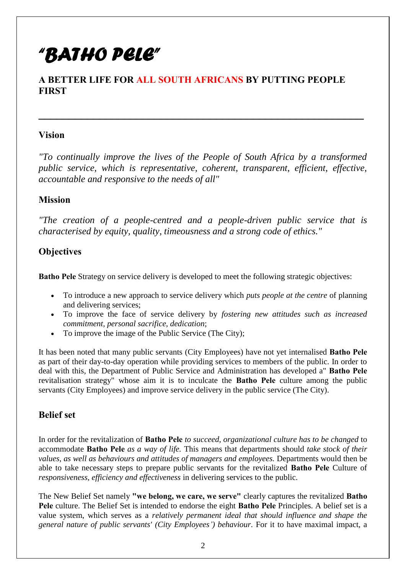# *"BATHO PELE"*

#### **A BETTER LIFE FOR ALL SOUTH AFRICANS BY PUTTING PEOPLE FIRST**

#### **Vision**

*"To continually improve the lives of the People of South Africa by a transformed public service, which is representative, coherent, transparent, efficient, effective, accountable and responsive to the needs of all"*

**\_\_\_\_\_\_\_\_\_\_\_\_\_\_\_\_\_\_\_\_\_\_\_\_\_\_\_\_\_\_\_\_\_\_\_\_\_\_\_\_\_\_\_\_\_\_\_\_\_\_\_\_\_**

#### **Mission**

*"The creation of a people-centred and a people-driven public service that is characterised by equity, quality, timeousness and a strong code of ethics."*

#### **Objectives**

**Batho Pele** Strategy on service delivery is developed to meet the following strategic objectives:

- To introduce a new approach to service delivery which *puts people at the centre* of planning and delivering services;
- To improve the face of service delivery by *fostering new attitudes such as increased commitment, personal sacrifice, dedication*;
- To improve the image of the Public Service (The City);

It has been noted that many public servants (City Employees) have not yet internalised **Batho Pele** as part of their day-to-day operation while providing services to members of the public. In order to deal with this, the Department of Public Service and Administration has developed a" **Batho Pele**  revitalisation strategy" whose aim it is to inculcate the **Batho Pele** culture among the public servants (City Employees) and improve service delivery in the public service (The City).

#### **Belief set**

In order for the revitalization of **Batho Pele** *to succeed, organizational culture has to be changed* to accommodate **Batho Pele** *as a way of life.* This means that departments should *take stock of their values, as well as behaviours and attitudes of managers and employees.* Departments would then be able to take necessary steps to prepare public servants for the revitalized **Batho Pele** Culture of *responsiveness, efficiency and effectiveness* in delivering services to the public.

The New Belief Set namely **"we belong, we care, we serve"** clearly captures the revitalized **Batho Pele** culture. The Belief Set is intended to endorse the eight **Batho Pele** Principles. A belief set is a value system, which serves as a *relatively permanent ideal that should influence and shape the general nature of public servants' (City Employees') behaviour*. For it to have maximal impact, a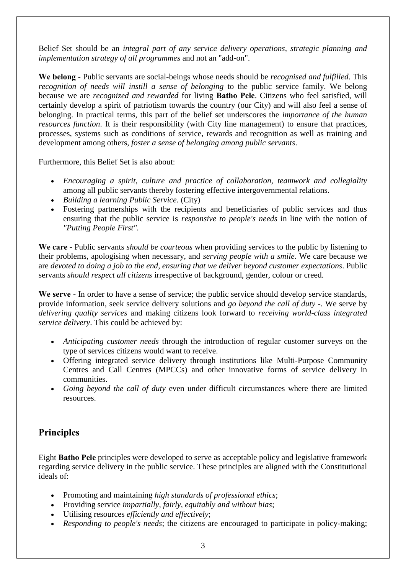Belief Set should be an *integral part of any service delivery operations, strategic planning and implementation strategy of all programmes* and not an "add-on".

**We belong** - Public servants are social-beings whose needs should be *recognised and fulfilled*. This *recognition of needs will instill a sense of belonging* to the public service family. We belong because we are *recognized and rewarded* for living **Batho Pele**. Citizens who feel satisfied, will certainly develop a spirit of patriotism towards the country (our City) and will also feel a sense of belonging. In practical terms, this part of the belief set underscores the *importance of the human resources function*. It is their responsibility (with City line management) to ensure that practices, processes, systems such as conditions of service, rewards and recognition as well as training and development among others, *foster a sense of belonging among public servants*.

Furthermore, this Belief Set is also about:

- *Encouraging a spirit, culture and practice of collaboration, teamwork and collegiality* among all public servants thereby fostering effective intergovernmental relations.
- *Building a learning Public Service.* (City)
- Fostering partnerships with the recipients and beneficiaries of public services and thus ensuring that the public service is *responsive to people's needs* in line with the notion of *"Putting People First".*

**We care** - Public servants *should be courteous* when providing services to the public by listening to their problems, apologising when necessary, and *serving people with a smile*. We care because we are *devoted to doing a job to the end*, *ensuring that we deliver beyond customer expectations*. Public servants *should respect all citizens* irrespective of background, gender, colour or creed.

We serve - In order to have a sense of service; the public service should develop service standards, provide information, seek service delivery solutions and *go beyond the call of duty* -. We serve by *delivering quality services* and making citizens look forward to *receiving world-class integrated service delivery*. This could be achieved by:

- *Anticipating customer needs* through the introduction of regular customer surveys on the type of services citizens would want to receive.
- Offering integrated service delivery through institutions like Multi-Purpose Community Centres and Call Centres (MPCCs) and other innovative forms of service delivery in communities.
- *Going beyond the call of duty* even under difficult circumstances where there are limited resources.

### **Principles**

Eight **Batho Pele** principles were developed to serve as acceptable policy and legislative framework regarding service delivery in the public service. These principles are aligned with the Constitutional ideals of:

- Promoting and maintaining *high standards of professional ethics*;
- Providing service *impartially, fairly, equitably and without bias*;
- Utilising resources *efficiently and effectively*;
- *Responding to people's needs*; the citizens are encouraged to participate in policy-making;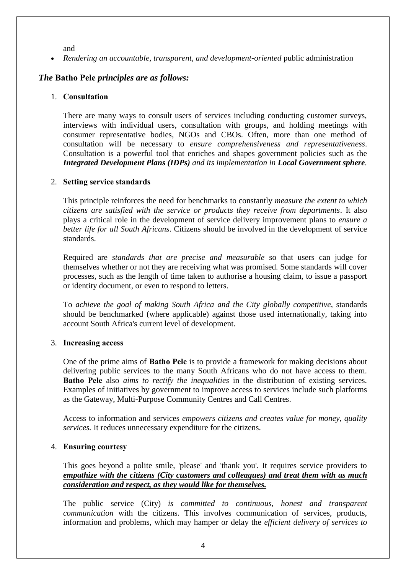and

*Rendering an accountable, transparent, and development-oriented* public administration

#### *The* **Batho Pele** *principles are as follows:*

#### 1. **Consultation**

There are many ways to consult users of services including conducting customer surveys, interviews with individual users, consultation with groups, and holding meetings with consumer representative bodies, NGOs and CBOs. Often, more than one method of consultation will be necessary to *ensure comprehensiveness and representativeness*. Consultation is a powerful tool that enriches and shapes government policies such as the *Integrated Development Plans (IDPs) and its implementation in Local Government sphere.*

#### 2. **Setting service standards**

This principle reinforces the need for benchmarks to constantly *measure the extent to which citizens are satisfied with the service or products they receive from departments*. It also plays a critical role in the development of service delivery improvement plans to *ensure a better life for all South Africans*. Citizens should be involved in the development of service standards.

Required are *standards that are precise and measurable* so that users can judge for themselves whether or not they are receiving what was promised. Some standards will cover processes, such as the length of time taken to authorise a housing claim, to issue a passport or identity document, or even to respond to letters.

To *achieve the goal of making South Africa and the City globally competitive*, standards should be benchmarked (where applicable) against those used internationally, taking into account South Africa's current level of development.

#### 3. **Increasing access**

One of the prime aims of **Batho Pele** is to provide a framework for making decisions about delivering public services to the many South Africans who do not have access to them. **Batho Pele** also *aims to rectify the inequalities* in the distribution of existing services. Examples of initiatives by government to improve access to services include such platforms as the Gateway, Multi-Purpose Community Centres and Call Centres.

Access to information and services *empowers citizens and creates value for money, quality services.* It reduces unnecessary expenditure for the citizens.

#### 4. **Ensuring courtesy**

This goes beyond a polite smile, 'please' and 'thank you'. It requires service providers to *empathize with the citizens (City customers and colleagues) and treat them with as much consideration and respect, as they would like for themselves.*

The public service (City) *is committed to continuous, honest and transparent communication* with the citizens. This involves communication of services, products, information and problems, which may hamper or delay the *efficient delivery of services to*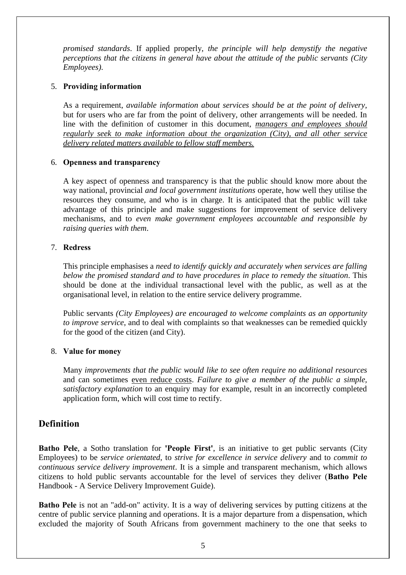*promised standards*. If applied properly, *the principle will help demystify the negative perceptions that the citizens in general have about the attitude of the public servants (City Employees)*.

#### 5. **Providing information**

As a requirement, *available information about services should be at the point of delivery*, but for users who are far from the point of delivery, other arrangements will be needed. In line with the definition of customer in this document, *managers and employees should regularly seek to make information about the organization (City), and all other service delivery related matters available to fellow staff members.*

#### 6. **Openness and transparency**

A key aspect of openness and transparency is that the public should know more about the way national, provincial *and local government institutions* operate, how well they utilise the resources they consume, and who is in charge. It is anticipated that the public will take advantage of this principle and make suggestions for improvement of service delivery mechanisms, and to *even make government employees accountable and responsible by raising queries with them*.

#### 7. **Redress**

This principle emphasises a *need to identify quickly and accurately when services are falling below the promised standard and to have procedures in place to remedy the situation*. This should be done at the individual transactional level with the public, as well as at the organisational level, in relation to the entire service delivery programme.

Public servants *(City Employees) are encouraged to welcome complaints as an opportunity to improve service*, and to deal with complaints so that weaknesses can be remedied quickly for the good of the citizen (and City).

#### 8. **Value for money**

Many *improvements that the public would like to see often require no additional resources* and can sometimes even reduce costs. *Failure to give a member of the public a simple, satisfactory explanation* to an enquiry may for example, result in an incorrectly completed application form, which will cost time to rectify.

#### **Definition**

**Batho Pele**, a Sotho translation for **'People First'**, is an initiative to get public servants (City Employees) to be *service orientated*, to *strive for excellence in service delivery* and to *commit to continuous service delivery improvement*. It is a simple and transparent mechanism, which allows citizens to hold public servants accountable for the level of services they deliver (**Batho Pele**  Handbook - A Service Delivery Improvement Guide).

**Batho Pele** is not an "add-on" activity. It is a way of delivering services by putting citizens at the centre of public service planning and operations. It is a major departure from a dispensation, which excluded the majority of South Africans from government machinery to the one that seeks to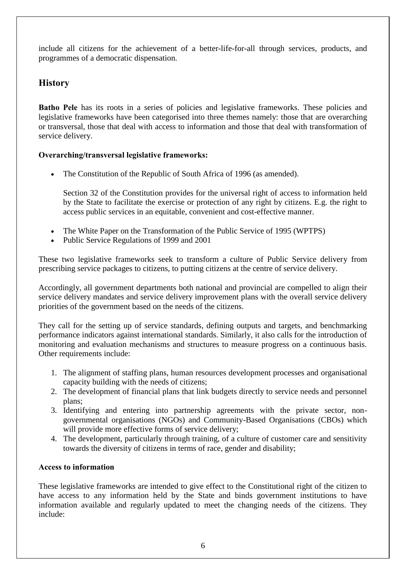include all citizens for the achievement of a better-life-for-all through services, products, and programmes of a democratic dispensation.

#### **History**

**Batho Pele** has its roots in a series of policies and legislative frameworks. These policies and legislative frameworks have been categorised into three themes namely: those that are overarching or transversal, those that deal with access to information and those that deal with transformation of service delivery.

#### **Overarching/transversal legislative frameworks:**

The Constitution of the Republic of South Africa of 1996 (as amended).

Section 32 of the Constitution provides for the universal right of access to information held by the State to facilitate the exercise or protection of any right by citizens. E.g. the right to access public services in an equitable, convenient and cost-effective manner.

- The White Paper on the Transformation of the Public Service of 1995 (WPTPS)
- Public Service Regulations of 1999 and 2001

These two legislative frameworks seek to transform a culture of Public Service delivery from prescribing service packages to citizens, to putting citizens at the centre of service delivery.

Accordingly, all government departments both national and provincial are compelled to align their service delivery mandates and service delivery improvement plans with the overall service delivery priorities of the government based on the needs of the citizens.

They call for the setting up of service standards, defining outputs and targets, and benchmarking performance indicators against international standards. Similarly, it also calls for the introduction of monitoring and evaluation mechanisms and structures to measure progress on a continuous basis. Other requirements include:

- 1. The alignment of staffing plans, human resources development processes and organisational capacity building with the needs of citizens;
- 2. The development of financial plans that link budgets directly to service needs and personnel plans;
- 3. Identifying and entering into partnership agreements with the private sector, nongovernmental organisations (NGOs) and Community-Based Organisations (CBOs) which will provide more effective forms of service delivery;
- 4. The development, particularly through training, of a culture of customer care and sensitivity towards the diversity of citizens in terms of race, gender and disability;

#### **Access to information**

These legislative frameworks are intended to give effect to the Constitutional right of the citizen to have access to any information held by the State and binds government institutions to have information available and regularly updated to meet the changing needs of the citizens. They include: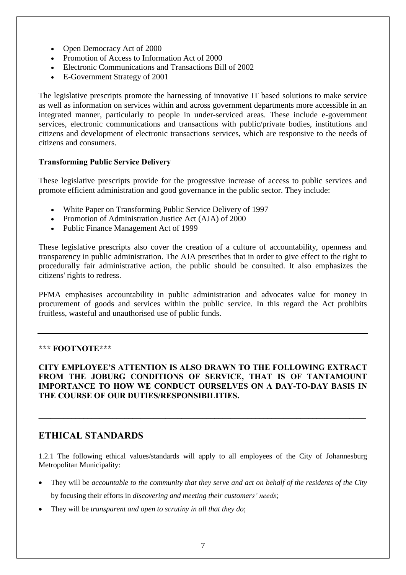- Open Democracy Act of 2000
- Promotion of Access to Information Act of 2000
- Electronic Communications and Transactions Bill of 2002
- E-Government Strategy of 2001

The legislative prescripts promote the harnessing of innovative IT based solutions to make service as well as information on services within and across government departments more accessible in an integrated manner, particularly to people in under-serviced areas. These include e-government services, electronic communications and transactions with public/private bodies, institutions and citizens and development of electronic transactions services, which are responsive to the needs of citizens and consumers.

#### **Transforming Public Service Delivery**

These legislative prescripts provide for the progressive increase of access to public services and promote efficient administration and good governance in the public sector. They include:

- White Paper on Transforming Public Service Delivery of 1997
- Promotion of Administration Justice Act (AJA) of 2000
- Public Finance Management Act of 1999

These legislative prescripts also cover the creation of a culture of accountability, openness and transparency in public administration. The AJA prescribes that in order to give effect to the right to procedurally fair administrative action, the public should be consulted. It also emphasizes the citizens' rights to redress.

PFMA emphasises accountability in public administration and advocates value for money in procurement of goods and services within the public service. In this regard the Act prohibits fruitless, wasteful and unauthorised use of public funds.

#### **\*\*\* FOOTNOTE\*\*\***

**CITY EMPLOYEE'S ATTENTION IS ALSO DRAWN TO THE FOLLOWING EXTRACT FROM THE JOBURG CONDITIONS OF SERVICE, THAT IS OF TANTAMOUNT IMPORTANCE TO HOW WE CONDUCT OURSELVES ON A DAY-TO-DAY BASIS IN THE COURSE OF OUR DUTIES/RESPONSIBILITIES.** 

**\_\_\_\_\_\_\_\_\_\_\_\_\_\_\_\_\_\_\_\_\_\_\_\_\_\_\_\_\_\_\_\_\_\_\_\_\_\_\_\_\_\_\_\_\_\_\_\_\_\_\_\_\_\_\_\_\_\_\_\_\_\_\_\_\_\_\_\_\_\_\_\_\_\_\_\_\_\_\_\_**

#### **ETHICAL STANDARDS**

1.2.1 The following ethical values/standards will apply to all employees of the City of Johannesburg Metropolitan Municipality:

- They will be *accountable to the community that they serve and act on behalf of the residents of the City* by focusing their efforts in *discovering and meeting their customers' needs*;
- They will be *transparent and open to scrutiny in all that they do*;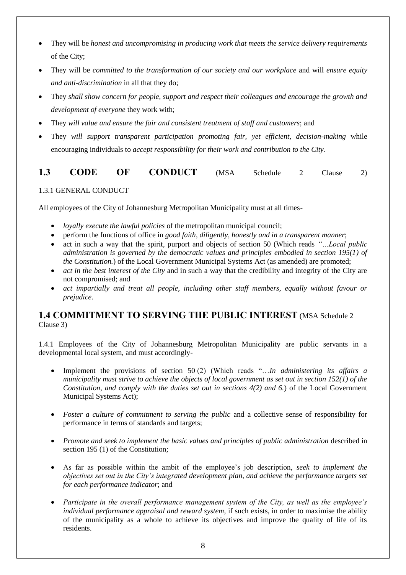- They will be *honest and uncompromising in producing work that meets the service delivery requirements*  of the City;
- They will be *committed to the transformation of our society and our workplace* and will *ensure equity and anti-discrimination* in all that they do;
- They *shall show concern for people, support and respect their colleagues and encourage the growth and development of everyone* they work with;
- They *will value and ensure the fair and consistent treatment of staff and customers*; and
- They *will support transparent participation promoting fair, yet efficient, decision-making* while encouraging individuals to *accept responsibility for their work and contribution to the City*.

#### 1.3 **CODE OF CONDUCT** (MSA Schedule 2 Clause 2)

1.3.1 GENERAL CONDUCT

All employees of the City of Johannesburg Metropolitan Municipality must at all times-

- *loyally execute the lawful policies* of the metropolitan municipal council;
- perform the functions of office in *good faith, diligently, honestly and in a transparent manner*;
- act in such a way that the spirit, purport and objects of section 50 (Which reads *"…Local public administration is governed by the democratic values and principles embodied in section 195(1) of the Constitution.*) of the Local Government Municipal Systems Act (as amended) are promoted;
- *act in the best interest of the City* and in such a way that the credibility and integrity of the City are not compromised; and
- *act impartially and treat all people, including other staff members, equally without favour or prejudice*.

#### **1.4 COMMITMENT TO SERVING THE PUBLIC INTEREST** (MSA Schedule 2 Clause 3)

1.4.1 Employees of the City of Johannesburg Metropolitan Municipality are public servants in a developmental local system, and must accordingly-

- Implement the provisions of section 50 (2) (Which reads "…*In administering its affairs a municipality must strive to achieve the objects of local government as set out in section 152(1) of the Constitution, and comply with the duties set out in sections 4(2) and 6.*) of the Local Government Municipal Systems Act);
- *Foster a culture of commitment to serving the public* and a collective sense of responsibility for performance in terms of standards and targets;
- Promote and seek to implement the basic values and principles of public administration described in section 195 (1) of the Constitution;
- As far as possible within the ambit of the employee's job description, *seek to implement the objectives set out in the City's integrated development plan, and achieve the performance targets set for each performance indicator*; and
- *Participate in the overall performance management system of the City, as well as the employee's individual performance appraisal and reward system,* if such exists, in order to maximise the ability of the municipality as a whole to achieve its objectives and improve the quality of life of its residents.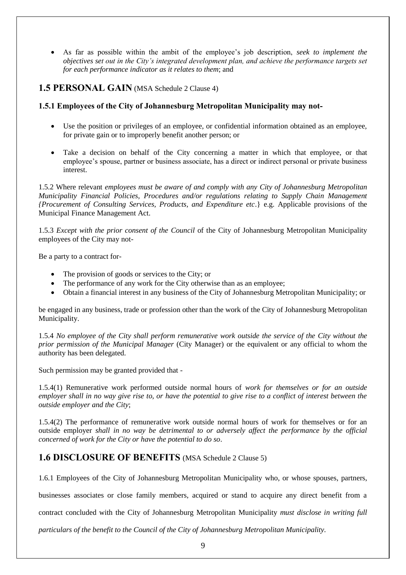As far as possible within the ambit of the employee's job description, *seek to implement the objectives set out in the City's integrated development plan, and achieve the performance targets set for each performance indicator as it relates to them*; and

#### **1.5 PERSONAL GAIN** (MSA Schedule 2 Clause 4)

#### **1.5.1 Employees of the City of Johannesburg Metropolitan Municipality may not-**

- Use the position or privileges of an employee, or confidential information obtained as an employee, for private gain or to improperly benefit another person; or
- Take a decision on behalf of the City concerning a matter in which that employee, or that employee's spouse, partner or business associate, has a direct or indirect personal or private business interest.

1.5.2 Where relevant *employees must be aware of and comply with any City of Johannesburg Metropolitan Municipality Financial Policies, Procedures and/or regulations relating to Supply Chain Management {Procurement of Consulting Services, Products, and Expenditure etc*.} e.g. Applicable provisions of the Municipal Finance Management Act.

1.5.3 *Except with the prior consent of the Council* of the City of Johannesburg Metropolitan Municipality employees of the City may not-

Be a party to a contract for-

- The provision of goods or services to the City; or
- The performance of any work for the City otherwise than as an employee;
- Obtain a financial interest in any business of the City of Johannesburg Metropolitan Municipality; or

be engaged in any business, trade or profession other than the work of the City of Johannesburg Metropolitan Municipality.

1.5.4 *No employee of the City shall perform remunerative work outside the service of the City without the prior permission of the Municipal Manager* (City Manager) or the equivalent or any official to whom the authority has been delegated.

Such permission may be granted provided that -

1.5.4(1) Remunerative work performed outside normal hours of *work for themselves or for an outside employer shall in no way give rise to, or have the potential to give rise to a conflict of interest between the outside employer and the City*;

1.5.4(2) The performance of remunerative work outside normal hours of work for themselves or for an outside employer *shall in no way be detrimental to or adversely affect the performance by the official concerned of work for the City or have the potential to do so*.

#### **1.6 DISCLOSURE OF BENEFITS** (MSA Schedule 2 Clause 5)

1.6.1 Employees of the City of Johannesburg Metropolitan Municipality who, or whose spouses, partners,

businesses associates or close family members, acquired or stand to acquire any direct benefit from a

contract concluded with the City of Johannesburg Metropolitan Municipality *must disclose in writing full* 

*particulars of the benefit to the Council of the City of Johannesburg Metropolitan Municipality.*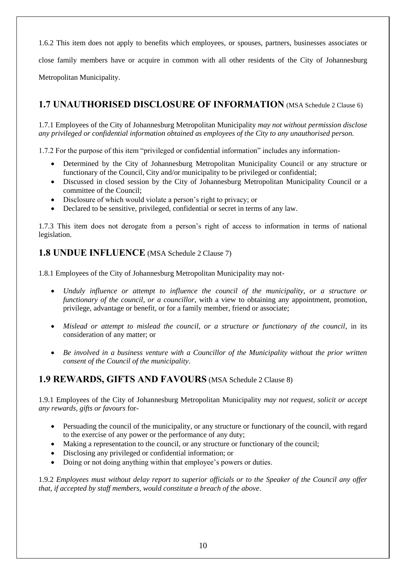1.6.2 This item does not apply to benefits which employees, or spouses, partners, businesses associates or

close family members have or acquire in common with all other residents of the City of Johannesburg

Metropolitan Municipality.

#### **1.7 UNAUTHORISED DISCLOSURE OF INFORMATION** (MSA Schedule 2 Clause 6)

1.7.1 Employees of the City of Johannesburg Metropolitan Municipality *may not without permission disclose any privileged or confidential information obtained as employees of the City to any unauthorised person.*

1.7.2 For the purpose of this item "privileged or confidential information" includes any information-

- Determined by the City of Johannesburg Metropolitan Municipality Council or any structure or functionary of the Council, City and/or municipality to be privileged or confidential;
- Discussed in closed session by the City of Johannesburg Metropolitan Municipality Council or a committee of the Council;
- Disclosure of which would violate a person's right to privacy; or
- Declared to be sensitive, privileged, confidential or secret in terms of any law.

1.7.3 This item does not derogate from a person's right of access to information in terms of national legislation.

#### **1.8 UNDUE INFLUENCE** (MSA Schedule 2 Clause 7)

1.8.1 Employees of the City of Johannesburg Metropolitan Municipality may not-

- *Unduly influence or attempt to influence the council of the municipality, or a structure or functionary of the council, or a councillor*, with a view to obtaining any appointment, promotion, privilege, advantage or benefit, or for a family member, friend or associate;
- *Mislead or attempt to mislead the council, or a structure or functionary of the council*, in its consideration of any matter; or
- *Be involved in a business venture with a Councillor of the Municipality without the prior written consent of the Council of the municipality*.

#### **1.9 REWARDS, GIFTS AND FAVOURS** (MSA Schedule 2 Clause 8)

1.9.1 Employees of the City of Johannesburg Metropolitan Municipality *may not request, solicit or accept any rewards, gifts or favours* for-

- Persuading the council of the municipality, or any structure or functionary of the council, with regard to the exercise of any power or the performance of any duty;
- Making a representation to the council, or any structure or functionary of the council;
- Disclosing any privileged or confidential information; or
- Doing or not doing anything within that employee's powers or duties.

1.9.2 *Employees must without delay report to superior officials or to the Speaker of the Council any offer that, if accepted by staff members, would constitute a breach of the above*.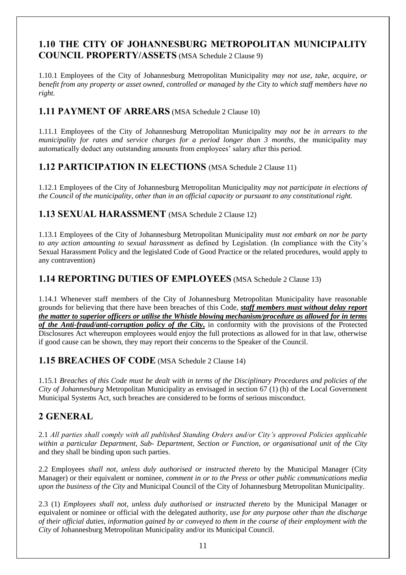#### **1.10 THE CITY OF JOHANNESBURG METROPOLITAN MUNICIPALITY COUNCIL PROPERTY/ASSETS** (MSA Schedule 2 Clause 9)

1.10.1 Employees of the City of Johannesburg Metropolitan Municipality *may not use, take, acquire, or benefit from any property or asset owned, controlled or managed by the Cit*y *to which staff members have no right.*

#### **1.11 PAYMENT OF ARREARS** (MSA Schedule 2 Clause 10)

1.11.1 Employees of the City of Johannesburg Metropolitan Municipality *may not be in arrears to the municipality for rates and service charges for a period longer than 3 months*, the municipality may automatically deduct any outstanding amounts from employees' salary after this period.

#### **1.12 PARTICIPATION IN ELECTIONS** (MSA Schedule 2 Clause 11)

1.12.1 Employees of the City of Johannesburg Metropolitan Municipality *may not participate in elections of the Council of the municipality, other than in an official capacity or pursuant to any constitutional right.*

#### **1.13 SEXUAL HARASSMENT** (MSA Schedule 2 Clause 12)

1.13.1 Employees of the City of Johannesburg Metropolitan Municipality *must not embark on nor be party to any action amounting to sexual harassment* as defined by Legislation. (In compliance with the City's Sexual Harassment Policy and the legislated Code of Good Practice or the related procedures, would apply to any contravention)

#### **1.14 REPORTING DUTIES OF EMPLOYEES** (MSA Schedule 2 Clause 13)

1.14.1 Whenever staff members of the City of Johannesburg Metropolitan Municipality have reasonable grounds for believing that there have been breaches of this Code, *staff members must without delay report the matter to superior officers or utilise the Whistle blowing mechanism/procedure as allowed for in terms of the Anti-fraud/anti-corruption policy of the City***,** in conformity with the provisions of the Protected Disclosures Act whereupon employees would enjoy the full protections as allowed for in that law, otherwise if good cause can be shown, they may report their concerns to the Speaker of the Council.

#### **1.15 BREACHES OF CODE** (MSA Schedule 2 Clause 14)

1.15.1 *Breaches of this Code must be dealt with in terms of the Disciplinary Procedures and policies of the City of Johannesburg* Metropolitan Municipality as envisaged in section 67 (1) (h) of the Local Government Municipal Systems Act, such breaches are considered to be forms of serious misconduct.

#### **2 GENERAL**

2.1 *All parties shall comply with all published Standing Orders and/or City's approved Policies applicable within a particular Department, Sub- Department, Section or Function, or organisational unit of the City* and they shall be binding upon such parties.

2.2 Employees *shall not, unless duly authorised or instructed thereto* by the Municipal Manager (City Manager) or their equivalent or nominee, *comment in or to the Press or other public communications media upon the business of the City* and Municipal Council of the City of Johannesburg Metropolitan Municipality.

2.3 (1) *Employees shall not, unless duly authorised or instructed thereto* by the Municipal Manager or equivalent or nominee or official with the delegated authority, *use for any purpose other than the discharge of their official duties, information gained by or conveyed to them in the course of their employment with the City* of Johannesburg Metropolitan Municipality and/or its Municipal Council.